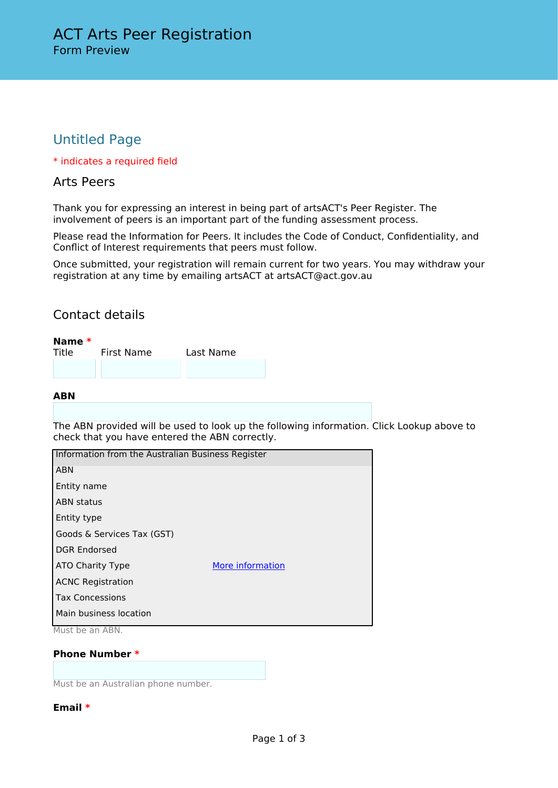# Untitled Page

\* indicates a required field

### Arts Peers

Thank you for expressing an interest in being part of artsACT's Peer Register. The involvement of peers is an important part of the funding assessment process.

Please read the Information for Peers. It includes the Code of Conduct, Confidentiality, and Conflict of Interest requirements that peers must follow.

Once submitted, your registration will remain current for two years. You may withdraw your registration at any time by emailing artsACT at artsACT@act.gov.au

## Contact details

| Name $*$ |            |           |  |
|----------|------------|-----------|--|
| Title    | First Name | Last Name |  |
|          |            |           |  |
|          |            |           |  |

#### **ABN**

The ABN provided will be used to look up the following information. Click Lookup above to check that you have entered the ABN correctly.

| Information from the Australian Business Register                                   |                  |  |  |
|-------------------------------------------------------------------------------------|------------------|--|--|
| <b>ABN</b>                                                                          |                  |  |  |
| Entity name                                                                         |                  |  |  |
| <b>ABN</b> status                                                                   |                  |  |  |
| Entity type                                                                         |                  |  |  |
| Goods & Services Tax (GST)                                                          |                  |  |  |
| <b>DGR Endorsed</b>                                                                 |                  |  |  |
| ATO Charity Type                                                                    | More information |  |  |
| <b>ACNC Registration</b>                                                            |                  |  |  |
| <b>Tax Concessions</b>                                                              |                  |  |  |
| Main business location<br>$M_{\odot}$ and $L_{\odot}$ and $L_{\odot}$ and $A$ $D M$ |                  |  |  |

Must be an ABN.

**Phone Number \***

Must be an Australian phone number.

#### **Email \***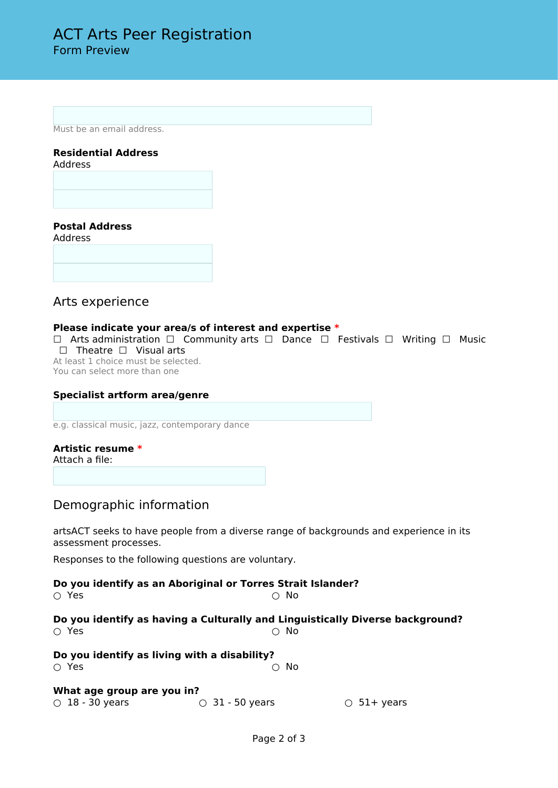Must be an email address.

# **Residential Address**

Address

### **Postal Address**

Address

## Arts experience

#### **Please indicate your area/s of interest and expertise \***

☐ Arts administration ☐ Community arts ☐ Dance ☐ Festivals ☐ Writing ☐ Music ☐ Theatre ☐ Visual arts

At least 1 choice must be selected. You can select more than one

# **Specialist artform area/genre**

e.g. classical music, jazz, contemporary dance

# **Artistic resume \***

Attach a file:

## Demographic information

artsACT seeks to have people from a diverse range of backgrounds and experience in its assessment processes.

Responses to the following questions are voluntary.

| ∩ Yes                                               | Do you identify as an Aboriginal or Torres Strait Islander?<br>$\cap$ No |                                                                               |
|-----------------------------------------------------|--------------------------------------------------------------------------|-------------------------------------------------------------------------------|
| ∩ Yes                                               | ∩ No                                                                     | Do you identify as having a Culturally and Linguistically Diverse background? |
| ∩ Yes                                               | Do you identify as living with a disability?<br>No                       |                                                                               |
| What age group are you in?<br>$\circ$ 18 - 30 years | $\circ$ 31 - 50 years                                                    | $\circ$ 51+ years                                                             |